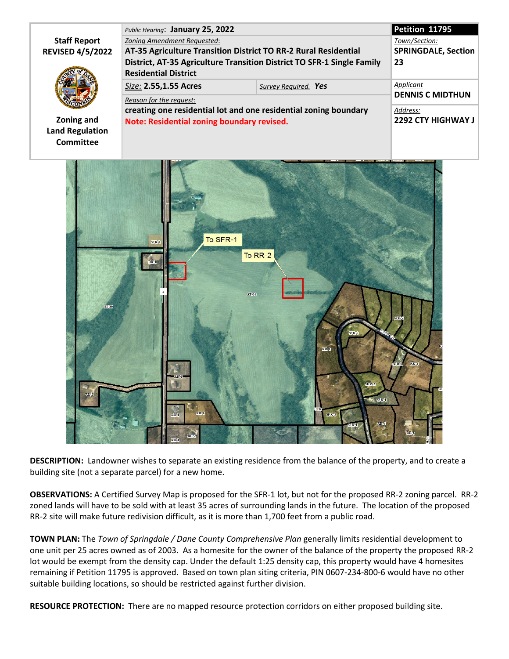|                         | Public Hearing: January 25, 2022                                                            |                      | Petition 11795             |
|-------------------------|---------------------------------------------------------------------------------------------|----------------------|----------------------------|
| <b>Staff Report</b>     | Zoning Amendment Requested:                                                                 |                      | Town/Section:              |
| <b>REVISED 4/5/2022</b> | AT-35 Agriculture Transition District TO RR-2 Rural Residential                             |                      | <b>SPRINGDALE, Section</b> |
|                         | District, AT-35 Agriculture Transition District TO SFR-1 Single Family                      |                      | 23                         |
|                         | <b>Residential District</b>                                                                 |                      |                            |
|                         | Size: 2.55,1.55 Acres                                                                       | Survey Required. Yes | Applicant                  |
|                         | Reason for the request:<br>creating one residential lot and one residential zoning boundary |                      | <b>DENNIS C MIDTHUN</b>    |
|                         |                                                                                             |                      | Address:                   |
| Zoning and              | Note: Residential zoning boundary revised.                                                  |                      | <b>2292 CTY HIGHWAY J</b>  |
| <b>Land Regulation</b>  |                                                                                             |                      |                            |
| Committee               |                                                                                             |                      |                            |



**DESCRIPTION:** Landowner wishes to separate an existing residence from the balance of the property, and to create a building site (not a separate parcel) for a new home.

**OBSERVATIONS:** A Certified Survey Map is proposed for the SFR-1 lot, but not for the proposed RR-2 zoning parcel. RR-2 zoned lands will have to be sold with at least 35 acres of surrounding lands in the future. The location of the proposed RR-2 site will make future redivision difficult, as it is more than 1,700 feet from a public road.

**TOWN PLAN:** The *Town of Springdale / Dane County Comprehensive Plan* generally limits residential development to one unit per 25 acres owned as of 2003. As a homesite for the owner of the balance of the property the proposed RR-2 lot would be exempt from the density cap. Under the default 1:25 density cap, this property would have 4 homesites remaining if Petition 11795 is approved. Based on town plan siting criteria, PIN 0607-234-800-6 would have no other suitable building locations, so should be restricted against further division.

**RESOURCE PROTECTION:** There are no mapped resource protection corridors on either proposed building site.